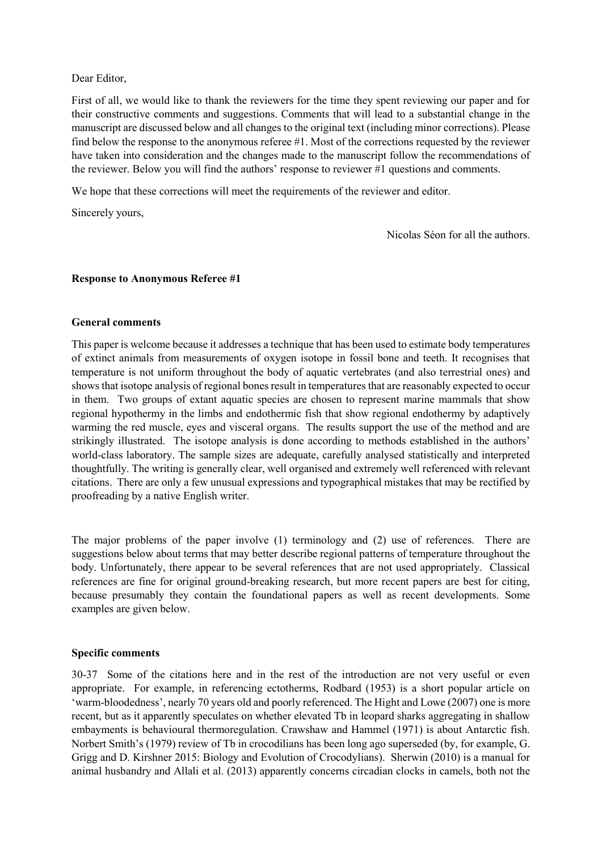# Dear Editor,

First of all, we would like to thank the reviewers for the time they spent reviewing our paper and for their constructive comments and suggestions. Comments that will lead to a substantial change in the manuscript are discussed below and all changes to the original text (including minor corrections). Please find below the response to the anonymous referee #1. Most of the corrections requested by the reviewer have taken into consideration and the changes made to the manuscript follow the recommendations of the reviewer. Below you will find the authors' response to reviewer #1 questions and comments.

We hope that these corrections will meet the requirements of the reviewer and editor.

Sincerely yours,

Nicolas Séon for all the authors.

# **Response to Anonymous Referee #1**

### **General comments**

This paper is welcome because it addresses a technique that has been used to estimate body temperatures of extinct animals from measurements of oxygen isotope in fossil bone and teeth. It recognises that temperature is not uniform throughout the body of aquatic vertebrates (and also terrestrial ones) and shows that isotope analysis of regional bones result in temperatures that are reasonably expected to occur in them. Two groups of extant aquatic species are chosen to represent marine mammals that show regional hypothermy in the limbs and endothermic fish that show regional endothermy by adaptively warming the red muscle, eyes and visceral organs. The results support the use of the method and are strikingly illustrated. The isotope analysis is done according to methods established in the authors' world-class laboratory. The sample sizes are adequate, carefully analysed statistically and interpreted thoughtfully. The writing is generally clear, well organised and extremely well referenced with relevant citations. There are only a few unusual expressions and typographical mistakes that may be rectified by proofreading by a native English writer.

The major problems of the paper involve (1) terminology and (2) use of references. There are suggestions below about terms that may better describe regional patterns of temperature throughout the body. Unfortunately, there appear to be several references that are not used appropriately. Classical references are fine for original ground-breaking research, but more recent papers are best for citing, because presumably they contain the foundational papers as well as recent developments. Some examples are given below.

# **Specific comments**

30-37 Some of the citations here and in the rest of the introduction are not very useful or even appropriate. For example, in referencing ectotherms, Rodbard (1953) is a short popular article on 'warm-bloodedness', nearly 70 years old and poorly referenced. The Hight and Lowe (2007) one is more recent, but as it apparently speculates on whether elevated Tb in leopard sharks aggregating in shallow embayments is behavioural thermoregulation. Crawshaw and Hammel (1971) is about Antarctic fish. Norbert Smith's (1979) review of Tb in crocodilians has been long ago superseded (by, for example, G. Grigg and D. Kirshner 2015: Biology and Evolution of Crocodylians). Sherwin (2010) is a manual for animal husbandry and Allali et al. (2013) apparently concerns circadian clocks in camels, both not the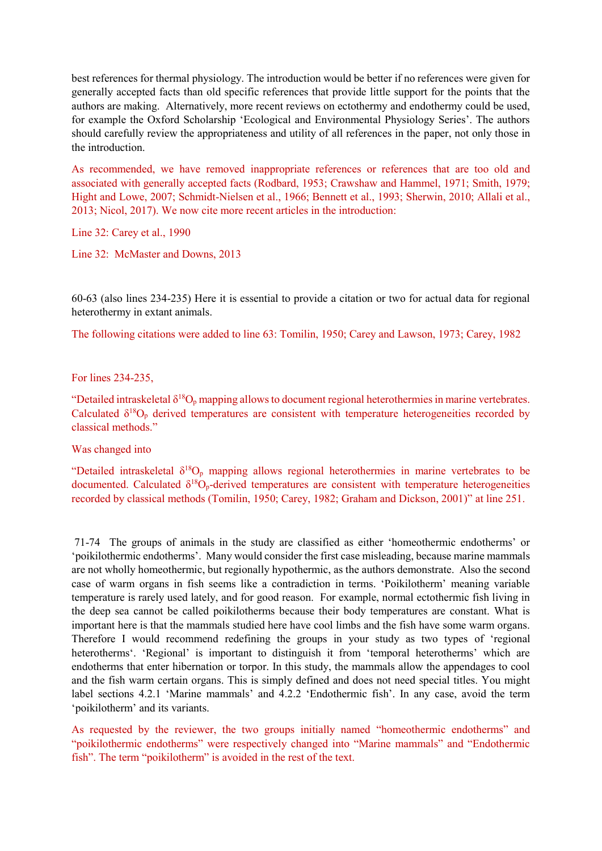best references for thermal physiology. The introduction would be better if no references were given for generally accepted facts than old specific references that provide little support for the points that the authors are making. Alternatively, more recent reviews on ectothermy and endothermy could be used, for example the Oxford Scholarship 'Ecological and Environmental Physiology Series'. The authors should carefully review the appropriateness and utility of all references in the paper, not only those in the introduction.

As recommended, we have removed inappropriate references or references that are too old and associated with generally accepted facts (Rodbard, 1953; Crawshaw and Hammel, 1971; Smith, 1979; Hight and Lowe, 2007; Schmidt-Nielsen et al., 1966; Bennett et al., 1993; Sherwin, 2010; Allali et al., 2013; Nicol, 2017). We now cite more recent articles in the introduction:

Line 32: Carey et al., 1990

Line 32: McMaster and Downs, 2013

60-63 (also lines 234-235) Here it is essential to provide a citation or two for actual data for regional heterothermy in extant animals.

The following citations were added to line 63: Tomilin, 1950; Carey and Lawson, 1973; Carey, 1982

For lines 234-235,

"Detailed intraskeletal  $\delta^{18}O_p$  mapping allows to document regional heterothermies in marine vertebrates. Calculated  $\delta^{18}O_p$  derived temperatures are consistent with temperature heterogeneities recorded by classical methods."

Was changed into

"Detailed intraskeletal  $\delta^{18}O_p$  mapping allows regional heterothermies in marine vertebrates to be documented. Calculated  $\delta^{18}O_p$ -derived temperatures are consistent with temperature heterogeneities recorded by classical methods (Tomilin, 1950; Carey, 1982; Graham and Dickson, 2001)" at line 251.

71-74 The groups of animals in the study are classified as either 'homeothermic endotherms' or 'poikilothermic endotherms'. Many would consider the first case misleading, because marine mammals are not wholly homeothermic, but regionally hypothermic, as the authors demonstrate. Also the second case of warm organs in fish seems like a contradiction in terms. 'Poikilotherm' meaning variable temperature is rarely used lately, and for good reason. For example, normal ectothermic fish living in the deep sea cannot be called poikilotherms because their body temperatures are constant. What is important here is that the mammals studied here have cool limbs and the fish have some warm organs. Therefore I would recommend redefining the groups in your study as two types of 'regional heterotherms'. 'Regional' is important to distinguish it from 'temporal heterotherms' which are endotherms that enter hibernation or torpor. In this study, the mammals allow the appendages to cool and the fish warm certain organs. This is simply defined and does not need special titles. You might label sections 4.2.1 'Marine mammals' and 4.2.2 'Endothermic fish'. In any case, avoid the term 'poikilotherm' and its variants.

As requested by the reviewer, the two groups initially named "homeothermic endotherms" and "poikilothermic endotherms" were respectively changed into "Marine mammals" and "Endothermic fish". The term "poikilotherm" is avoided in the rest of the text.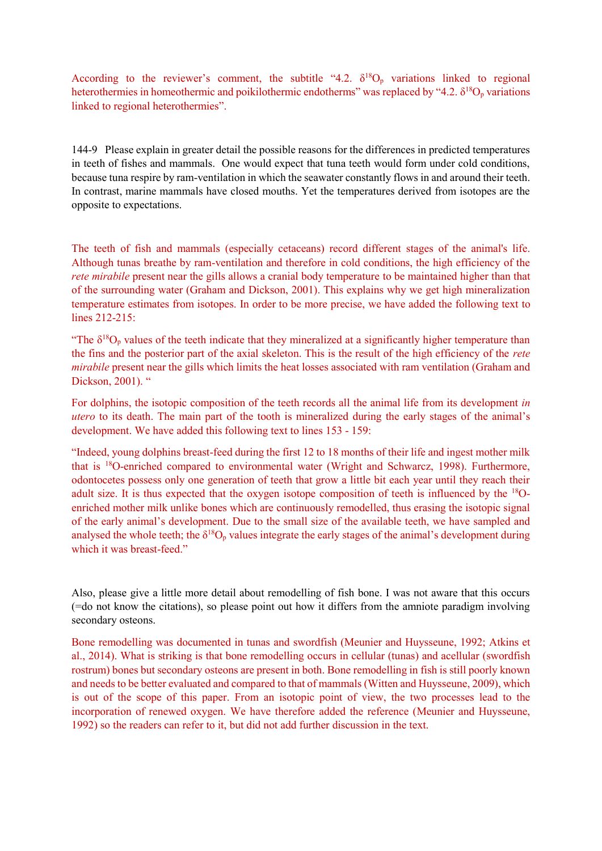According to the reviewer's comment, the subtitle "4.2.  $\delta^{18}O_p$  variations linked to regional heterothermies in homeothermic and poikilothermic endotherms" was replaced by "4.2.  $\delta^{18}O_p$  variations linked to regional heterothermies".

144-9 Please explain in greater detail the possible reasons for the differences in predicted temperatures in teeth of fishes and mammals. One would expect that tuna teeth would form under cold conditions, because tuna respire by ram-ventilation in which the seawater constantly flows in and around their teeth. In contrast, marine mammals have closed mouths. Yet the temperatures derived from isotopes are the opposite to expectations.

The teeth of fish and mammals (especially cetaceans) record different stages of the animal's life. Although tunas breathe by ram-ventilation and therefore in cold conditions, the high efficiency of the *rete mirabile* present near the gills allows a cranial body temperature to be maintained higher than that of the surrounding water (Graham and Dickson, 2001). This explains why we get high mineralization temperature estimates from isotopes. In order to be more precise, we have added the following text to lines 212-215:

"The  $\delta^{18}O_p$  values of the teeth indicate that they mineralized at a significantly higher temperature than the fins and the posterior part of the axial skeleton. This is the result of the high efficiency of the *rete mirabile* present near the gills which limits the heat losses associated with ram ventilation (Graham and Dickson, 2001). "

For dolphins, the isotopic composition of the teeth records all the animal life from its development *in utero* to its death. The main part of the tooth is mineralized during the early stages of the animal's development. We have added this following text to lines 153 - 159:

"Indeed, young dolphins breast-feed during the first 12 to 18 months of their life and ingest mother milk that is <sup>18</sup>O-enriched compared to environmental water (Wright and Schwarcz, 1998). Furthermore, odontocetes possess only one generation of teeth that grow a little bit each year until they reach their adult size. It is thus expected that the oxygen isotope composition of teeth is influenced by the 18Oenriched mother milk unlike bones which are continuously remodelled, thus erasing the isotopic signal of the early animal's development. Due to the small size of the available teeth, we have sampled and analysed the whole teeth; the  $\delta^{18}O_p$  values integrate the early stages of the animal's development during which it was breast-feed."

Also, please give a little more detail about remodelling of fish bone. I was not aware that this occurs (=do not know the citations), so please point out how it differs from the amniote paradigm involving secondary osteons.

Bone remodelling was documented in tunas and swordfish (Meunier and Huysseune, 1992; Atkins et al., 2014). What is striking is that bone remodelling occurs in cellular (tunas) and acellular (swordfish rostrum) bones but secondary osteons are present in both. Bone remodelling in fish is still poorly known and needs to be better evaluated and compared to that of mammals (Witten and Huysseune, 2009), which is out of the scope of this paper. From an isotopic point of view, the two processes lead to the incorporation of renewed oxygen. We have therefore added the reference (Meunier and Huysseune, 1992) so the readers can refer to it, but did not add further discussion in the text.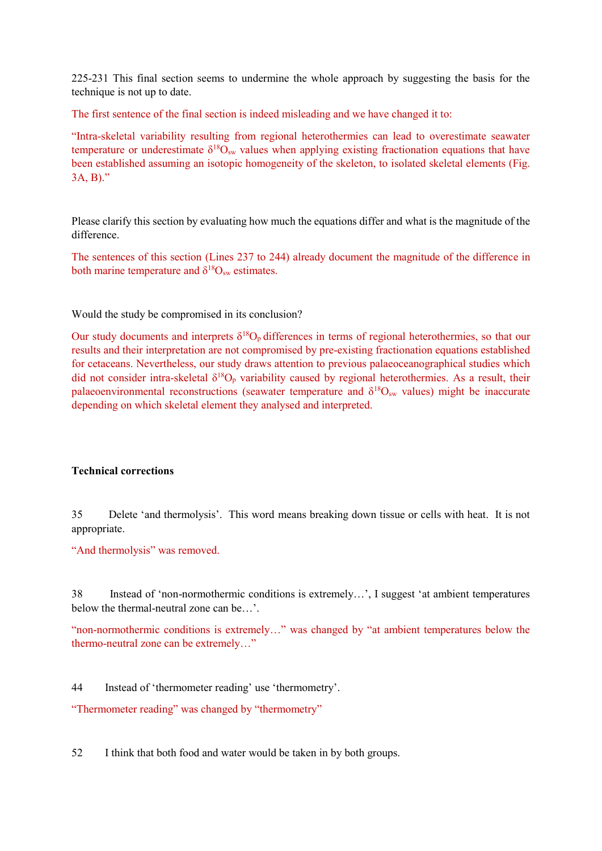225-231 This final section seems to undermine the whole approach by suggesting the basis for the technique is not up to date.

The first sentence of the final section is indeed misleading and we have changed it to:

"Intra-skeletal variability resulting from regional heterothermies can lead to overestimate seawater temperature or underestimate  $\delta^{18}O_{sw}$  values when applying existing fractionation equations that have been established assuming an isotopic homogeneity of the skeleton, to isolated skeletal elements (Fig. 3A, B)."

Please clarify this section by evaluating how much the equations differ and what is the magnitude of the difference.

The sentences of this section (Lines 237 to 244) already document the magnitude of the difference in both marine temperature and  $\delta^{18}O_{sw}$  estimates.

Would the study be compromised in its conclusion?

Our study documents and interprets  $\delta^{18}O_p$  differences in terms of regional heterothermies, so that our results and their interpretation are not compromised by pre-existing fractionation equations established for cetaceans. Nevertheless, our study draws attention to previous palaeoceanographical studies which did not consider intra-skeletal  $\delta^{18}O_p$  variability caused by regional heterothermies. As a result, their palaeoenvironmental reconstructions (seawater temperature and  $\delta^{18}O_{sw}$  values) might be inaccurate depending on which skeletal element they analysed and interpreted.

# **Technical corrections**

35 Delete 'and thermolysis'. This word means breaking down tissue or cells with heat. It is not appropriate.

"And thermolysis" was removed.

38 Instead of 'non-normothermic conditions is extremely…', I suggest 'at ambient temperatures below the thermal-neutral zone can be…'.

"non-normothermic conditions is extremely…" was changed by "at ambient temperatures below the thermo-neutral zone can be extremely…"

44 Instead of 'thermometer reading' use 'thermometry'.

"Thermometer reading" was changed by "thermometry"

52 I think that both food and water would be taken in by both groups.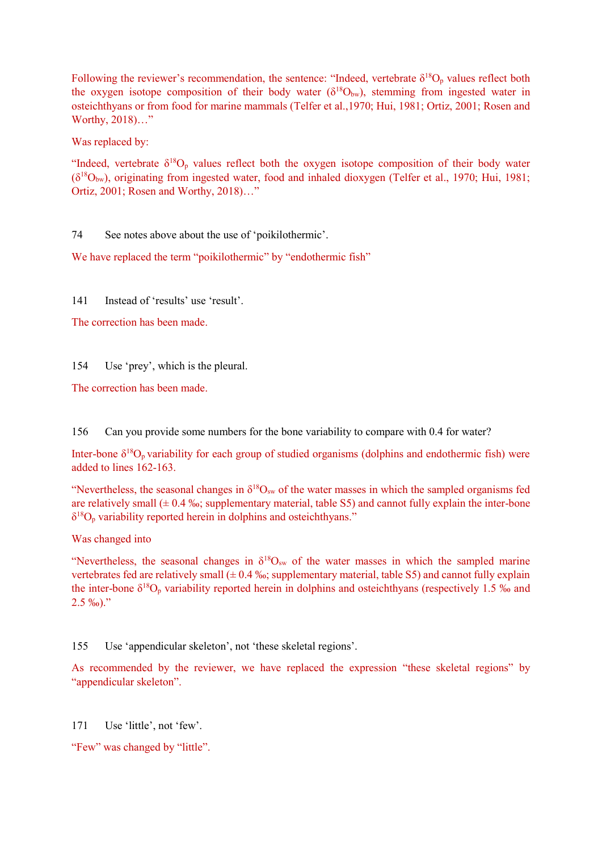Following the reviewer's recommendation, the sentence: "Indeed, vertebrate  $\delta^{18}O_p$  values reflect both the oxygen isotope composition of their body water  $(\delta^{18}O_{bw})$ , stemming from ingested water in osteichthyans or from food for marine mammals (Telfer et al.,1970; Hui, 1981; Ortiz, 2001; Rosen and Worthy, 2018)…"

Was replaced by:

"Indeed, vertebrate  $\delta^{18}O_p$  values reflect both the oxygen isotope composition of their body water  $(\delta^{18}O_{bw})$ , originating from ingested water, food and inhaled dioxygen (Telfer et al., 1970; Hui, 1981; Ortiz, 2001; Rosen and Worthy, 2018)…"

74 See notes above about the use of 'poikilothermic'.

We have replaced the term "poikilothermic" by "endothermic fish"

141 Instead of 'results' use 'result'.

The correction has been made.

154 Use 'prey', which is the pleural.

The correction has been made.

156 Can you provide some numbers for the bone variability to compare with 0.4 for water?

Inter-bone δ <sup>18</sup>Op variability for each group of studied organisms (dolphins and endothermic fish) were added to lines 162-163.

"Nevertheless, the seasonal changes in  $\delta^{18}O_{sw}$  of the water masses in which the sampled organisms fed are relatively small  $(\pm 0.4 \text{ %} \cdot \text{s}$ ; supplementary material, table S5) and cannot fully explain the inter-bone  $\delta^{18}O_p$  variability reported herein in dolphins and osteichthyans."

Was changed into

"Nevertheless, the seasonal changes in  $\delta^{18}O_{sw}$  of the water masses in which the sampled marine vertebrates fed are relatively small  $(± 0.4 %$ ; supplementary material, table S5) and cannot fully explain the inter-bone  $\delta^{18}O_p$  variability reported herein in dolphins and osteichthyans (respectively 1.5 ‰ and  $2.5\%$ <sub>0</sub>)."

155 Use 'appendicular skeleton', not 'these skeletal regions'.

As recommended by the reviewer, we have replaced the expression "these skeletal regions" by "appendicular skeleton".

171 Use 'little', not 'few'.

"Few" was changed by "little".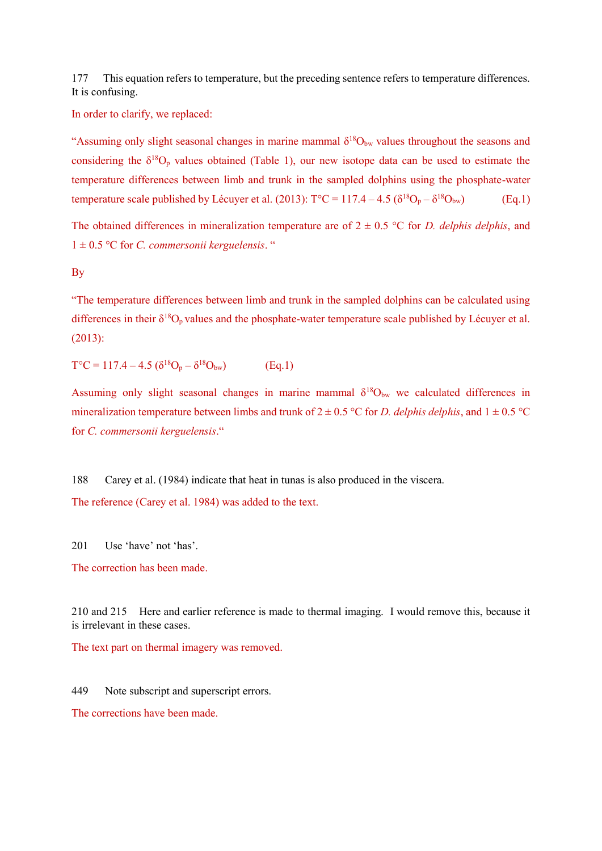177 This equation refers to temperature, but the preceding sentence refers to temperature differences. It is confusing.

In order to clarify, we replaced:

"Assuming only slight seasonal changes in marine mammal  $\delta^{18}O_{bw}$  values throughout the seasons and considering the  $\delta^{18}O_p$  values obtained (Table 1), our new isotope data can be used to estimate the temperature differences between limb and trunk in the sampled dolphins using the phosphate-water temperature scale published by Lécuyer et al. (2013):  $T^{\circ}C = 117.4 - 4.5 \left( \delta^{18}O_p - \delta^{18}O_{bw} \right)$  (Eq.1)

The obtained differences in mineralization temperature are of  $2 \pm 0.5$  °C for *D. delphis delphis*, and 1 ± 0.5 °C for *C. commersonii kerguelensis*. "

By

"The temperature differences between limb and trunk in the sampled dolphins can be calculated using differences in their  $\delta^{18}O_p$  values and the phosphate-water temperature scale published by Lécuyer et al. (2013):

 $T^{\circ}C = 117.4 - 4.5 \left( \delta^{18}O_p - \delta^{18}O_{bw} \right)$  (Eq.1)

Assuming only slight seasonal changes in marine mammal  $\delta^{18}O_{bw}$  we calculated differences in mineralization temperature between limbs and trunk of  $2 \pm 0.5$  °C for *D. delphis delphis*, and  $1 \pm 0.5$  °C for *C. commersonii kerguelensis*."

188 Carey et al. (1984) indicate that heat in tunas is also produced in the viscera. The reference (Carey et al. 1984) was added to the text.

201 Use 'have' not 'has'.

The correction has been made.

210 and 215 Here and earlier reference is made to thermal imaging. I would remove this, because it is irrelevant in these cases.

The text part on thermal imagery was removed.

449 Note subscript and superscript errors.

The corrections have been made.